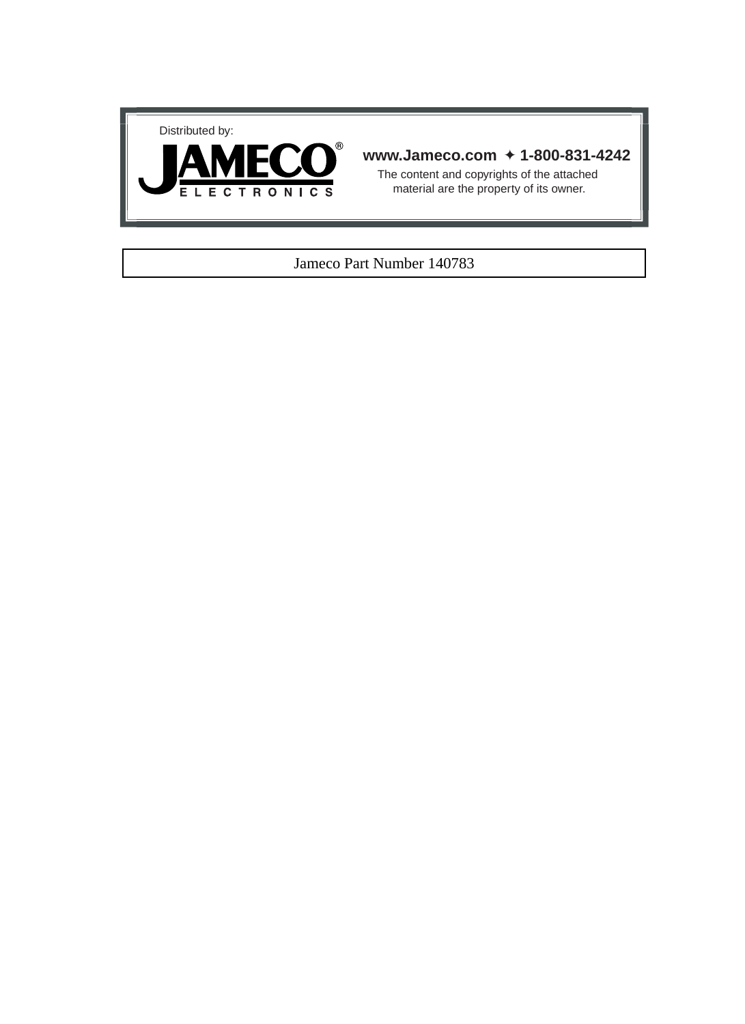



#### **www.Jameco.com** ✦ **1-800-831-4242**

The content and copyrights of the attached material are the property of its owner.

#### Jameco Part Number 140783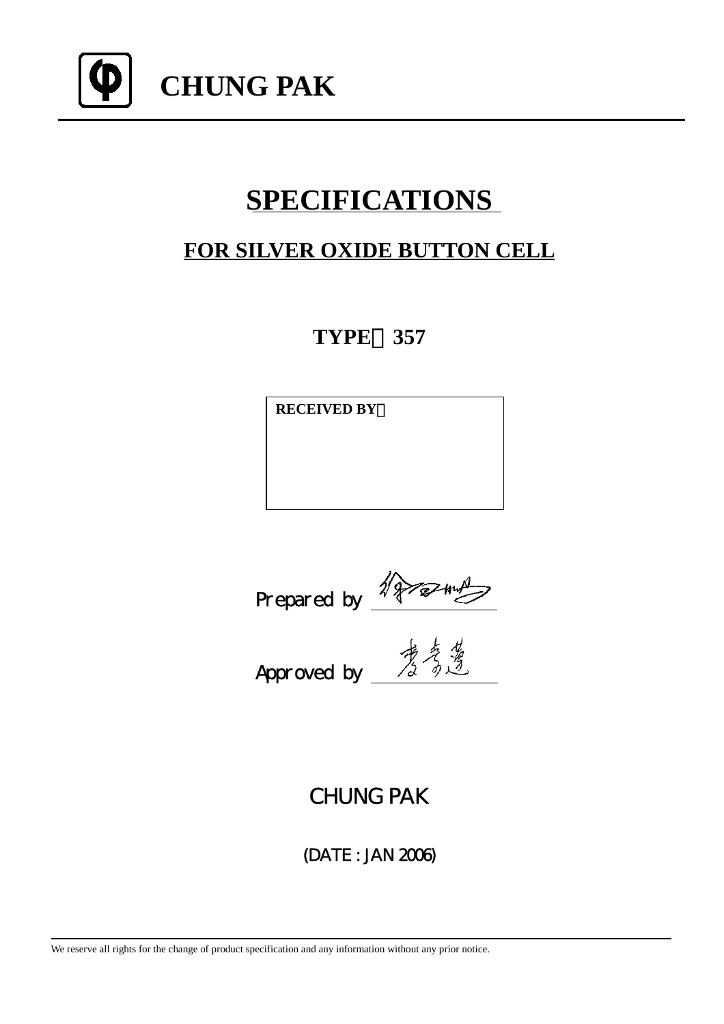

# **SPECIFICATIONS**

## **FOR SILVER OXIDE BUTTON CELL**

**TYPE**:**357**

**RECEIVED BY**:

Prepared by

Approved by

CHUNG PAK

(DATE : JAN 2006)

We reserve all rights for the change of product specification and any information without any prior notice.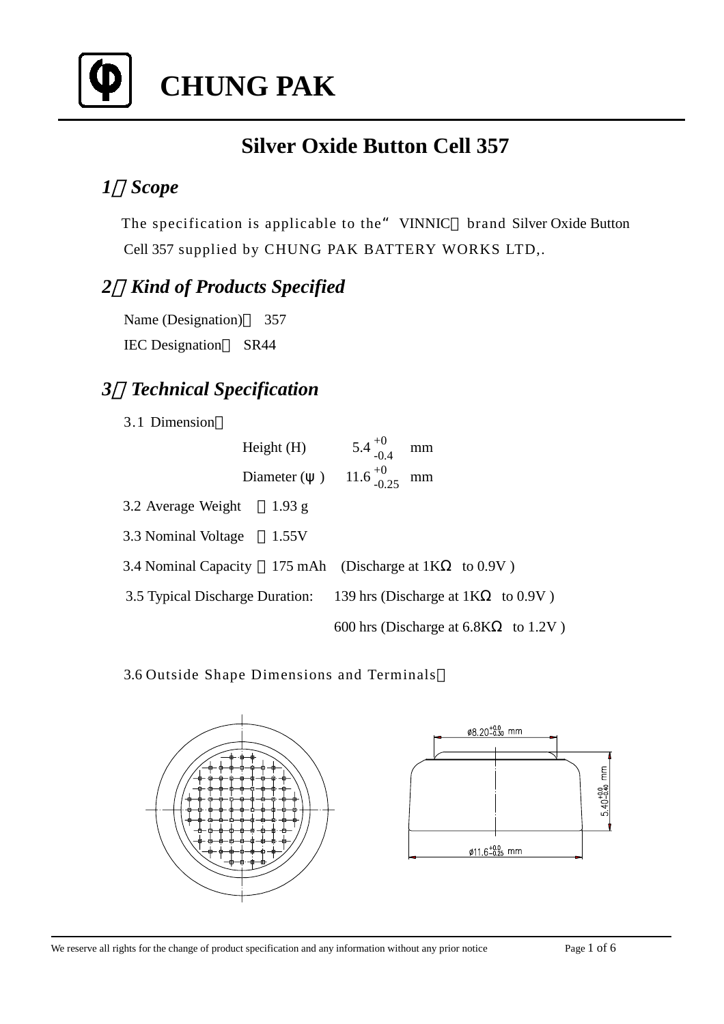

# **CHUNG PAK**

## **Silver Oxide Button Cell 357**

### *1*、*Scope*

The specification is applicable to the "VINNIC brand Silver Oxide Button Cell 357 supplied by CHUNG PAK BATTERY WORKS LTD,.

### *2*、*Kind of Products Specified*

Name (Designation) 357 IEC Designation SR44

### *3*、*Technical Specification*

3.1 Dimension

|                                                                   | Height(H) | $5.4^{+0}_{-0.4}$                        | mm |             |  |
|-------------------------------------------------------------------|-----------|------------------------------------------|----|-------------|--|
|                                                                   |           | Diameter ( ) $11.6^{+0}_{-0.25}$ mm      |    |             |  |
| 3.2 Average Weight                                                | $1.93$ g  |                                          |    |             |  |
| 3.3 Nominal Voltage                                               | 1.55V     |                                          |    |             |  |
| 3.4 Nominal Capacity 175 mAh (Discharge at 1K)                    |           |                                          |    | to $0.9V$ ) |  |
| 3.5 Typical Discharge Duration: 139 hrs (Discharge at 1K to 0.9V) |           |                                          |    |             |  |
|                                                                   |           | 600 hrs (Discharge at $6.8K$ to $1.2V$ ) |    |             |  |

3.6 Outside Shape Dimensions and Terminals

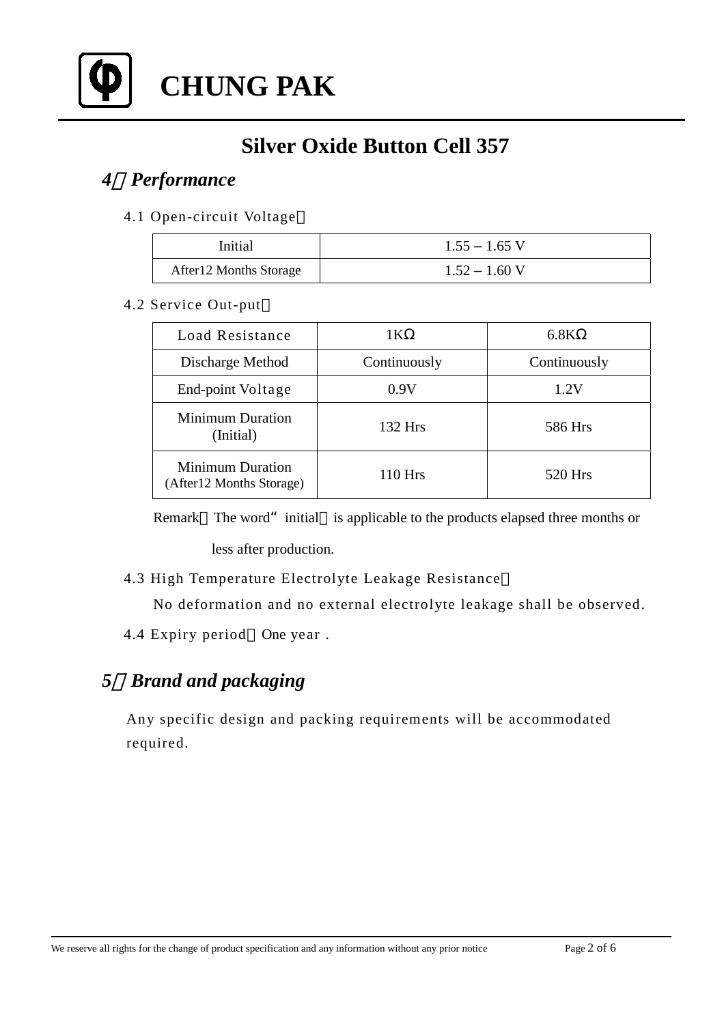

**CHUNG PAK**

## **Silver Oxide Button Cell 357**

### *4*、*Performance*

4.1 Open-circuit Voltage

| Initial                 | $1.55 - 1.65$ V |
|-------------------------|-----------------|
| After 12 Months Storage | $1.52 - 1.60$ V |

#### 4.2 Service Out-put

| Load Resistance                                      | 1K           | 6.8K         |  |
|------------------------------------------------------|--------------|--------------|--|
| Discharge Method                                     | Continuously | Continuously |  |
| End-point Voltage                                    | 0.9V         | 1.2V         |  |
| <b>Minimum Duration</b><br>(Initial)                 | $132$ Hrs    | 586 Hrs      |  |
| <b>Minimum Duration</b><br>(After 12 Months Storage) | 110 Hrs      | 520 Hrs      |  |

Remark The word" initial is applicable to the products elapsed three months or less after production.

4.3 High Temperature Electrolyte Leakage Resistance

No deformation and no external electrolyte leakage shall be observed.

4.4 Expiry period One year .

### *5*、*Brand and packaging*

 Any specific design and packing requirements will be accommodated required.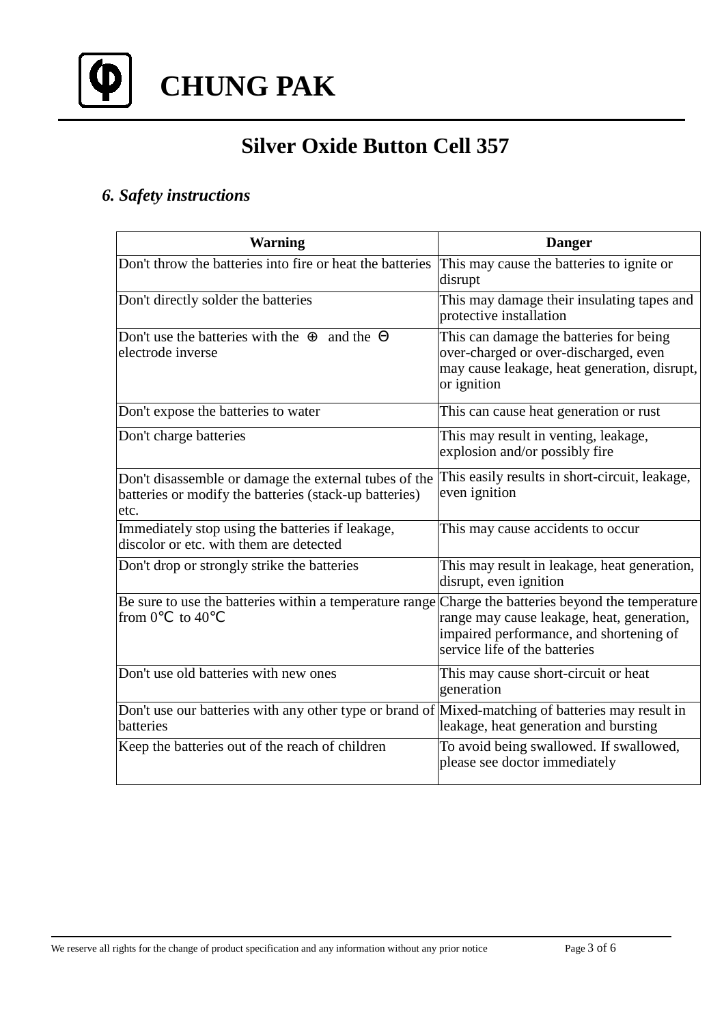

### *6. Safety instructions*

| <b>Warning</b>                                                                                                          | <b>Danger</b>                                                                                                                                                         |
|-------------------------------------------------------------------------------------------------------------------------|-----------------------------------------------------------------------------------------------------------------------------------------------------------------------|
| Don't throw the batteries into fire or heat the batteries                                                               | This may cause the batteries to ignite or<br>disrupt                                                                                                                  |
| Don't directly solder the batteries                                                                                     | This may damage their insulating tapes and<br>protective installation                                                                                                 |
| Don't use the batteries with the<br>and the<br>electrode inverse                                                        | This can damage the batteries for being<br>over-charged or over-discharged, even<br>may cause leakage, heat generation, disrupt,<br>or ignition                       |
| Don't expose the batteries to water                                                                                     | This can cause heat generation or rust                                                                                                                                |
| Don't charge batteries                                                                                                  | This may result in venting, leakage,<br>explosion and/or possibly fire                                                                                                |
| Don't disassemble or damage the external tubes of the<br>batteries or modify the batteries (stack-up batteries)<br>etc. | This easily results in short-circuit, leakage,<br>even ignition                                                                                                       |
| Immediately stop using the batteries if leakage,<br>discolor or etc. with them are detected                             | This may cause accidents to occur                                                                                                                                     |
| Don't drop or strongly strike the batteries                                                                             | This may result in leakage, heat generation,<br>disrupt, even ignition                                                                                                |
| Be sure to use the batteries within a temperature range<br>from 0<br>to $40$                                            | Charge the batteries beyond the temperature<br>range may cause leakage, heat, generation,<br>impaired performance, and shortening of<br>service life of the batteries |
| Don't use old batteries with new ones                                                                                   | This may cause short-circuit or heat<br>generation                                                                                                                    |
| Don't use our batteries with any other type or brand of Mixed-matching of batteries may result in<br>batteries          | leakage, heat generation and bursting                                                                                                                                 |
| Keep the batteries out of the reach of children                                                                         | To avoid being swallowed. If swallowed,<br>please see doctor immediately                                                                                              |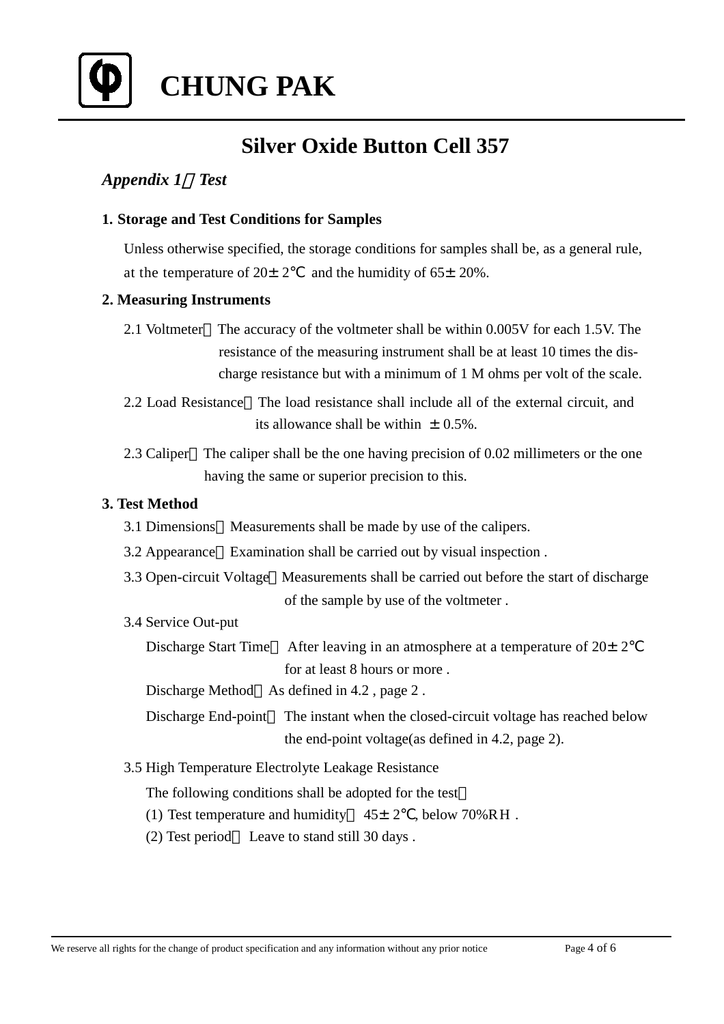

#### *Appendix 1*:*Test*

#### **1. Storage and Test Conditions for Samples**

Unless otherwise specified, the storage conditions for samples shall be, as a general rule, at the temperature of  $20 \pm 2$  and the humidity of  $65 \pm 20\%$ .

#### **2. Measuring Instruments**

- 2.1 Voltmeter The accuracy of the voltmeter shall be within 0.005V for each 1.5V. The resistance of the measuring instrument shall be at least 10 times the dis charge resistance but with a minimum of 1 M ohms per volt of the scale.
- 2.2 Load Resistance The load resistance shall include all of the external circuit, and its allowance shall be within  $\pm$  0.5%.
- 2.3 Caliper The caliper shall be the one having precision of 0.02 millimeters or the one having the same or superior precision to this.

#### **3. Test Method**

- 3.1 Dimensions Measurements shall be made by use of the calipers.
- 3.2 Appearance Examination shall be carried out by visual inspection .
- 3.3 Open-circuit Voltage Measurements shall be carried out before the start of discharge of the sample by use of the voltmeter .
- 3.4 Service Out-put
	- Discharge Start Time After leaving in an atmosphere at a temperature of  $20 \pm 2$ for at least 8 hours or more .

Discharge Method As defined in 4.2, page 2.

- Discharge End-point The instant when the closed-circuit voltage has reached below the end-point voltage(as defined in 4.2, page 2).
- 3.5 High Temperature Electrolyte Leakage Resistance

The following conditions shall be adopted for the test

- (1) Test temperature and humidity  $45 \pm 2$ , below 70%RH.
- (2) Test period Leave to stand still 30 days .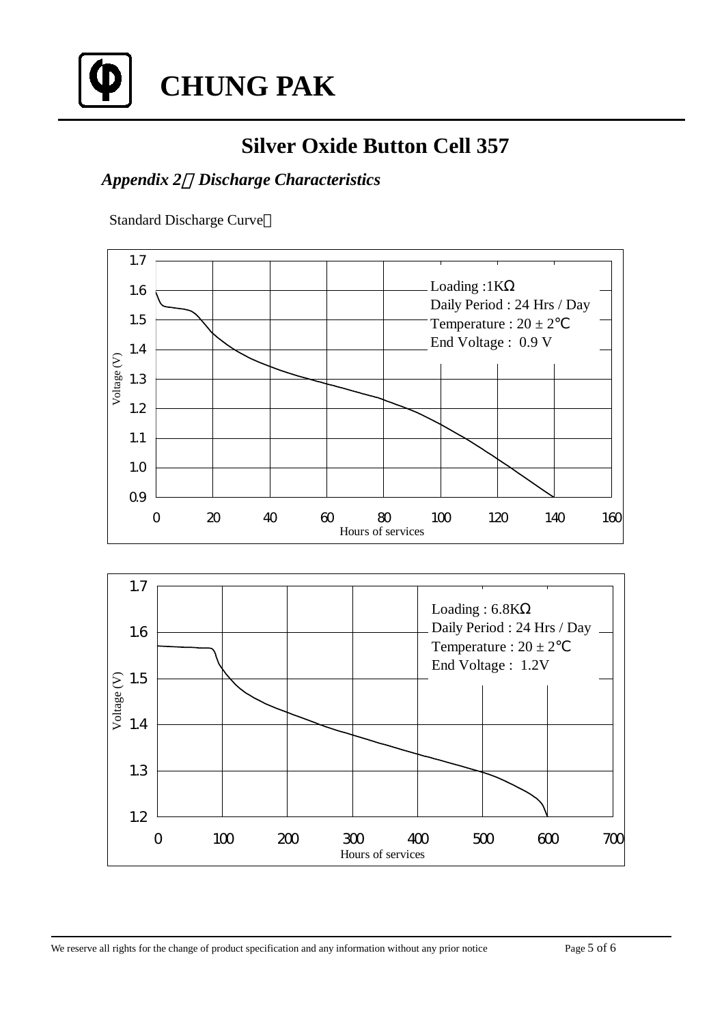

### *Appendix 2*:*Discharge Characteristics*

Standard Discharge Curve